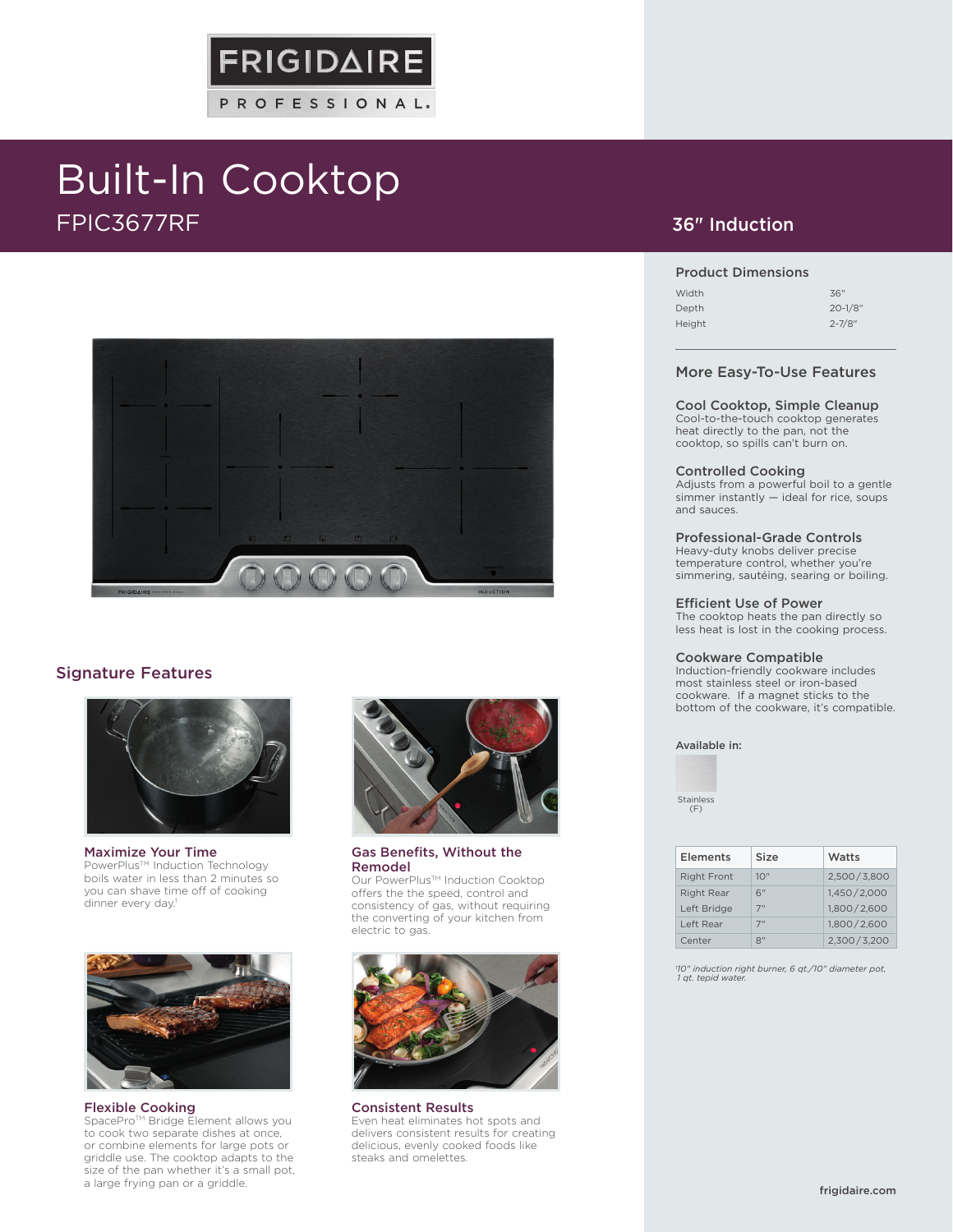# Built-In Cooktop FPIC3677RF



**FRIGIDAIRE** 

PROFESSIONAL.

# Signature Features



Maximize Your Time PowerPlus™ Induction Technology boils water in less than 2 minutes so you can shave time off of cooking dinner every day.<sup>1</sup>



Flexible Cooking

SpacePro™ Bridge Element allows you to cook two separate dishes at once, or combine elements for large pots or griddle use. The cooktop adapts to the size of the pan whether it's a small pot, a large frying pan or a griddle.



Gas Benefits, Without the Remodel

Our PowerPlus™ Induction Cooktop offers the the speed, control and consistency of gas, without requiring the converting of your kitchen from electric to gas.



Consistent Results Even heat eliminates hot spots and delivers consistent results for creating delicious, evenly cooked foods like steaks and omelettes.

# 36" Induction

### Product Dimensions

| 36"          |
|--------------|
| $20 - 1/8$ " |
| $2 - 7/8"$   |
|              |

### More Easy-To-Use Features

Cool Cooktop, Simple Cleanup Cool-to-the-touch cooktop generates heat directly to the pan, not the cooktop, so spills can't burn on.

#### Controlled Cooking

Adjusts from a powerful boil to a gentle simmer instantly — ideal for rice, soups and sauces.

### Professional-Grade Controls

Heavy-duty knobs deliver precise temperature control, whether you're simmering, sautéing, searing or boiling.

#### Efficient Use of Power

The cooktop heats the pan directly so less heat is lost in the cooking process.

#### Cookware Compatible

Induction-friendly cookware includes most stainless steel or iron-based cookware. If a magnet sticks to the bottom of the cookware, it's compatible.

Available in:

Stainless (F)

| Elements           | Size | Watts       |
|--------------------|------|-------------|
| <b>Right Front</b> | 10'' | 2.500/3.800 |
| <b>Right Rear</b>  | 6"   | 1,450/2,000 |
| Left Bridge        | 7"   | 1,800/2,600 |
| Left Rear          | 7"   | 1,800/2,600 |
| Center             | יי,  | 2.300/3.200 |

*1 10" induction right burner, 6 qt./10" diameter pot, 1 qt. tepid water.*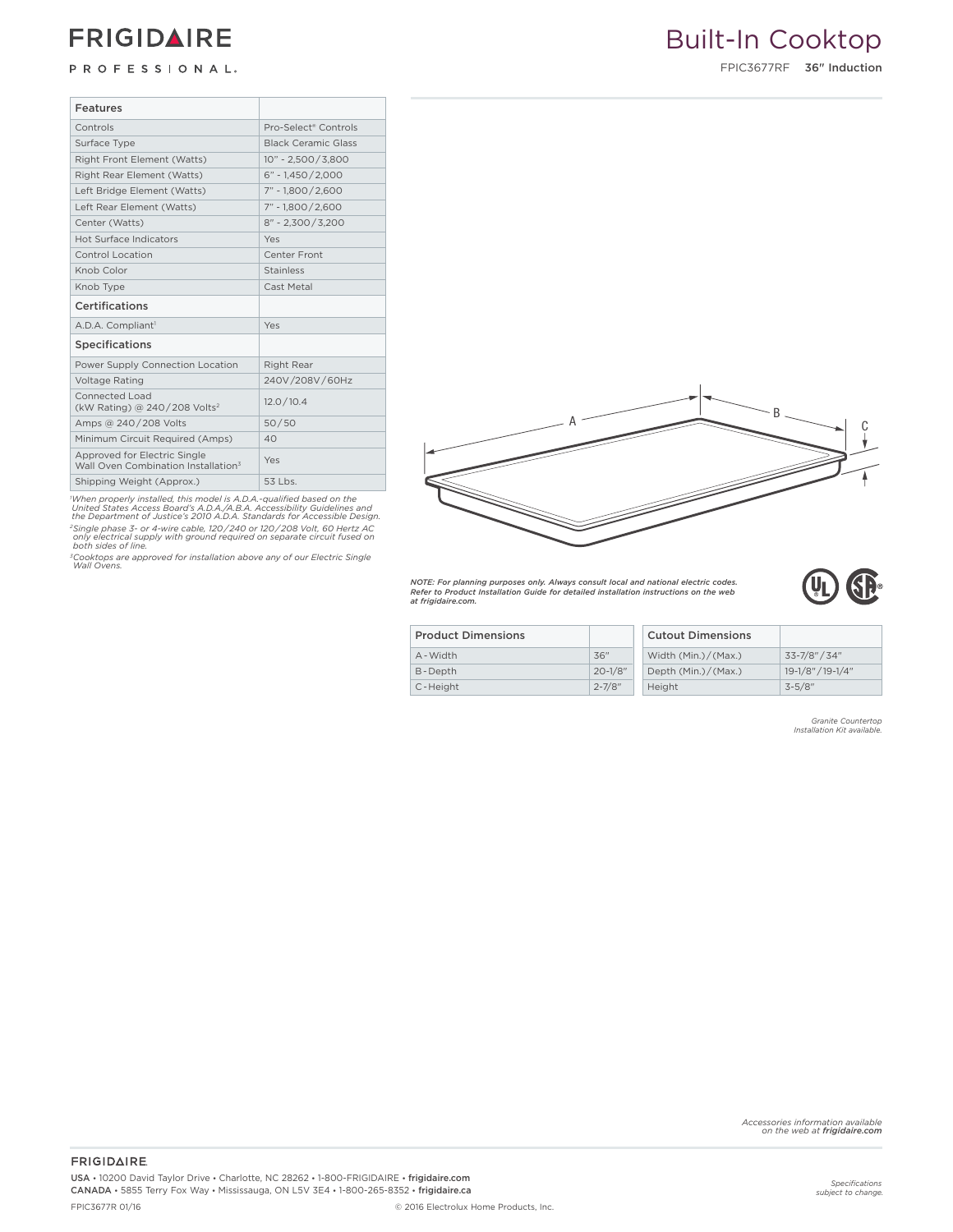# **FRIGIDAIRE**

# PROFESSIONAL.

# Built-In Cooktop

FPIC3677RF 36" Induction

| <b>Features</b>                                                                 |                                  |
|---------------------------------------------------------------------------------|----------------------------------|
| Controls                                                                        | Pro-Select <sup>®</sup> Controls |
| Surface Type                                                                    | <b>Black Ceramic Glass</b>       |
| Right Front Element (Watts)                                                     | $10" - 2,500 / 3,800$            |
| Right Rear Element (Watts)                                                      | $6" - 1.450 / 2.000$             |
| Left Bridge Element (Watts)                                                     | 7" - 1.800 / 2.600               |
| Left Rear Element (Watts)                                                       | 7" - 1.800/2.600                 |
| Center (Watts)                                                                  | $8" - 2.300 / 3.200$             |
| Hot Surface Indicators                                                          | Yes                              |
| Control Location                                                                | Center Front                     |
| Knob Color                                                                      | <b>Stainless</b>                 |
| Knob Type                                                                       | Cast Metal                       |
| Certifications                                                                  |                                  |
| A.D.A. Compliant <sup>1</sup>                                                   | Yes                              |
| <b>Specifications</b>                                                           |                                  |
| Power Supply Connection Location                                                | Right Rear                       |
| <b>Voltage Rating</b>                                                           | 240V /208V / 60Hz                |
| Connected Load<br>(kW Rating) @ 240/208 Volts <sup>2</sup>                      | 12.0 / 10.4                      |
| Amps @ 240/208 Volts                                                            | 50/50                            |
| Minimum Circuit Required (Amps)                                                 | 40                               |
| Approved for Electric Single<br>Wall Oven Combination Installation <sup>3</sup> | Yes                              |
|                                                                                 |                                  |
| Shipping Weight (Approx.)                                                       | 53 Lbs.                          |

'When properly installed, this model is A.D.A.-qualified based on the<br>United States Access Board's A.D.A./A.B.A. Accessibility Guidelines and<br>the Department of Justice's 2010 A.D.A. Standards for Accessible Design. *2Single phase 3- or 4-wire cable, 120 / 240 or 120 / 208 Volt, 60 Hertz AC only electrical supply with ground required on separate circuit fused on both sides of line.*

*3Cooktops are approved for installation above any of our Electric Single Wall Ovens.*



*NOTE: For planning purposes only. Always consult local and national electric codes. Refer to Product Installation Guide for detailed installation instructions on the web at frigidaire.com.*

| Τ<br>I<br>U | Ŵ |
|-------------|---|
|             |   |

| <b>Product Dimensions</b> |             | <b>Cutout Dimensions</b> |                   |
|---------------------------|-------------|--------------------------|-------------------|
| A - Width                 | 36"         | Width $(Min.)/(Max.)$    | 33-7/8" / 34"     |
| B-Depth                   | $20 - 1/8"$ | Depth $(Min.)/(Max.)$    | 19-1/8" / 19-1/4" |
| C-Height                  | $2 - 7/8"$  | Height                   | $3 - 5/8$ "       |

*Granite Countertop Installation Kit available.*

*Accessories information available on the web at frigidaire.com*